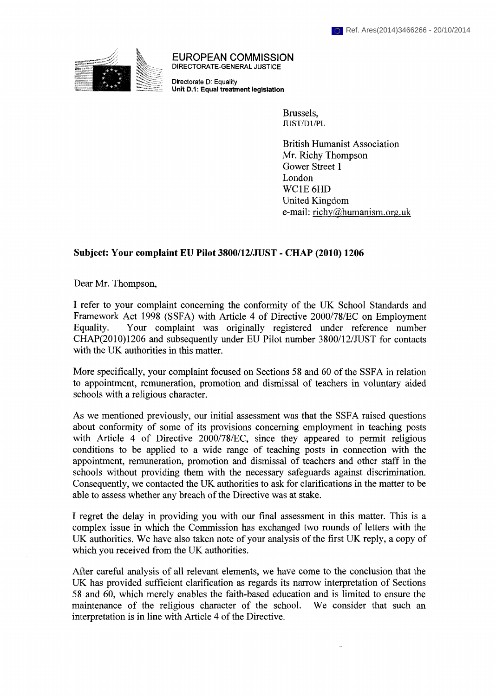

DIRECTORATE-GENERAL JUSTICE EUROPEAN COMMISSION

Directorate D: Equality Unit D.1: Equal treatment legislation

> Brussels, JUST/Dl/PL

British Humanist Association Mr. Richy Thompson Gower Street 1 London WC1E6HD United Kingdom e-mail: richy@humanism.org.uk

## Subject: Your complaint EU Pilot 3800/12/JUST - CHAP (2010) 1206

Dear Mr. Thompson,

I refer to your complaint concerning the conformity of the UK School Standards and Framework Act 1998 (SSFA) with Article 4 of Directive 2000/78/EC on Employment Equality. Your complaint was originally registered under reference number CHAP(2010)1206 and subsequently under EU Pilot number 3800/12/JUST for contacts with the UK authorities in this matter.

More specifically, your complaint focused on Sections 58 and 60 of the SSFA in relation to appointment, remuneration, promotion and dismissal of teachers in voluntary aided schools with a religious character.

As we mentioned previously, our initial assessment was that the SSFA raised questions about conformity of some of its provisions concerning employment in teaching posts with Article 4 of Directive 2000/78/EC, since they appeared to permit religious conditions to be applied to a wide range of teaching posts in connection with the appointment, remuneration, promotion and dismissal of teachers and other staff in the schools without providing them with the necessary safeguards against discrimination. Consequently, we contacted the UK authorities to ask for clarifications in the matter to be able to assess whether any breach of the Directive was at stake.

I regret the delay in providing you with our final assessment in this matter. This is a complex issue in which the Commission has exchanged two rounds of letters with the UK authorities. We have also taken note of your analysis of the first UK reply, a copy of which you received from the UK authorities.

After careful analysis of all relevant elements, we have come to the conclusion that the UK has provided sufficient clarification as regards its narrow interpretation of Sections 58 and 60, which merely enables the faith-based education and is limited to ensure the maintenance of the religious character of the school. We consider that such an interpretation is in line with Article 4 of the Directive.